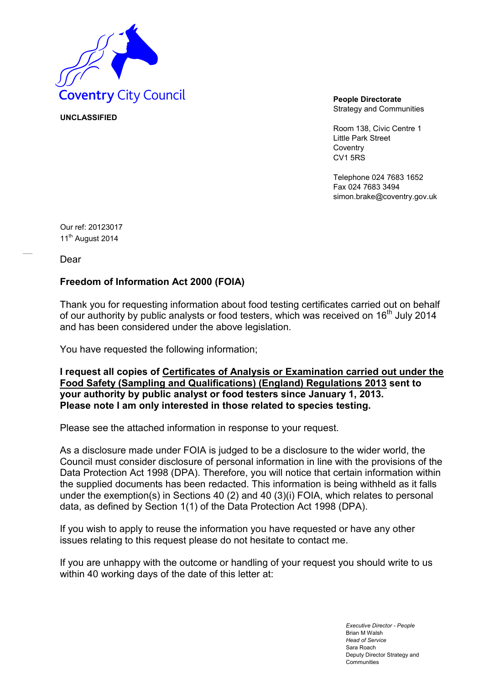

Strategy and Communities

Room 138, Civic Centre 1 Little Park Street **Coventry** CV1 5RS

Telephone 024 7683 1652 Fax 024 7683 3494 simon.brake@coventry.gov.uk

Our ref: 20123017 11<sup>th</sup> August 2014

**UNCLASSIFIED**

Dear

### **Freedom of Information Act 2000 (FOIA)**

Thank you for requesting information about food testing certificates carried out on behalf of our authority by public analysts or food testers, which was received on 16<sup>th</sup> July 2014 and has been considered under the above legislation.

You have requested the following information;

**I request all copies of Certificates of Analysis or Examination carried out under the Food Safety (Sampling and Qualifications) (England) Regulations 2013 sent to your authority by public analyst or food testers since January 1, 2013. Please note I am only interested in those related to species testing.** 

Please see the attached information in response to your request.

As a disclosure made under FOIA is judged to be a disclosure to the wider world, the Council must consider disclosure of personal information in line with the provisions of the Data Protection Act 1998 (DPA). Therefore, you will notice that certain information within the supplied documents has been redacted. This information is being withheld as it falls under the exemption(s) in Sections 40 (2) and 40 (3)(i) FOIA, which relates to personal data, as defined by Section 1(1) of the Data Protection Act 1998 (DPA).

If you wish to apply to reuse the information you have requested or have any other issues relating to this request please do not hesitate to contact me.

If you are unhappy with the outcome or handling of your request you should write to us within 40 working days of the date of this letter at:

> *Executive Director - People* Brian M Walsh *Head of Service* Sara Roach Deputy Director Strategy and Communities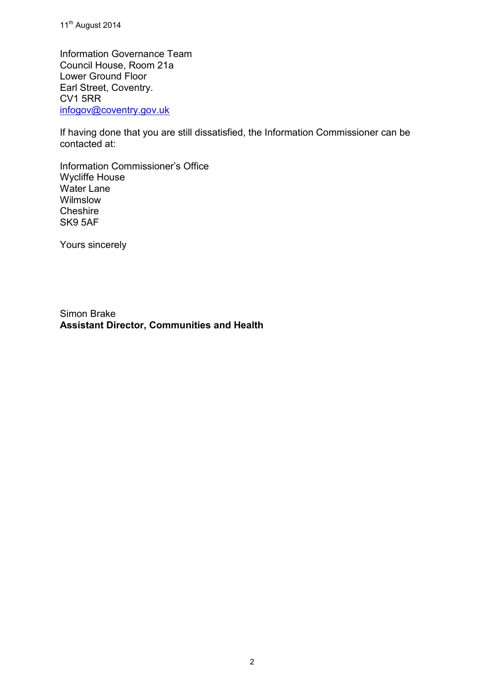11<sup>th</sup> August 2014

Information Governance Team Council House, Room 21a Lower Ground Floor Earl Street, Coventry. CV1 5RR [infogov@coventry.gov.uk](mailto:infogov@coventry.gov.uk)

If having done that you are still dissatisfied, the Information Commissioner can be contacted at:

Information Commissioner's Office Wycliffe House Water Lane Wilmslow **Cheshire** SK9 5AF

Yours sincerely

Simon Brake **Assistant Director, Communities and Health**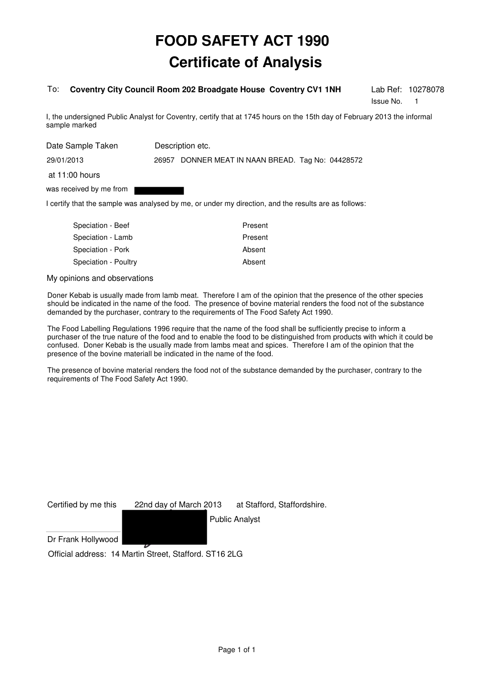#### To: **Coventry City Council Room 202 Broadgate House Coventry CV1 1NH**

Issue No. 1

Lab Ref: 10278078

I, the undersigned Public Analyst for Coventry, certify that at 1745 hours on the 15th day of February 2013 the informal sample marked

| Date Sample Taken       | Description etc.                                  |
|-------------------------|---------------------------------------------------|
| 29/01/2013              | 26957 DONNER MEAT IN NAAN BREAD. Tag No: 04428572 |
| at 11:00 hours          |                                                   |
| was received by me from |                                                   |

I certify that the sample was analysed by me, or under my direction, and the results are as follows:

| Speciation - Beef    | Present |
|----------------------|---------|
| Speciation - Lamb    | Present |
| Speciation - Pork    | Absent  |
| Speciation - Poultry | Absent  |
|                      |         |

My opinions and observations

Doner Kebab is usually made from lamb meat. Therefore I am of the opinion that the presence of the other species should be indicated in the name of the food. The presence of bovine material renders the food not of the substance demanded by the purchaser, contrary to the requirements of The Food Safety Act 1990.

The Food Labelling Regulations 1996 require that the name of the food shall be sufficiently precise to inform a purchaser of the true nature of the food and to enable the food to be distinguished from products with which it could be confused. Doner Kebab is the usually made from lambs meat and spices. Therefore I am of the opinion that the presence of the bovine materiall be indicated in the name of the food.

The presence of bovine material renders the food not of the substance demanded by the purchaser, contrary to the requirements of The Food Safety Act 1990.

Certified by me this 22nd day of March 2013 at Stafford, Staffordshire. Public Analyst

Dr Frank Hollywood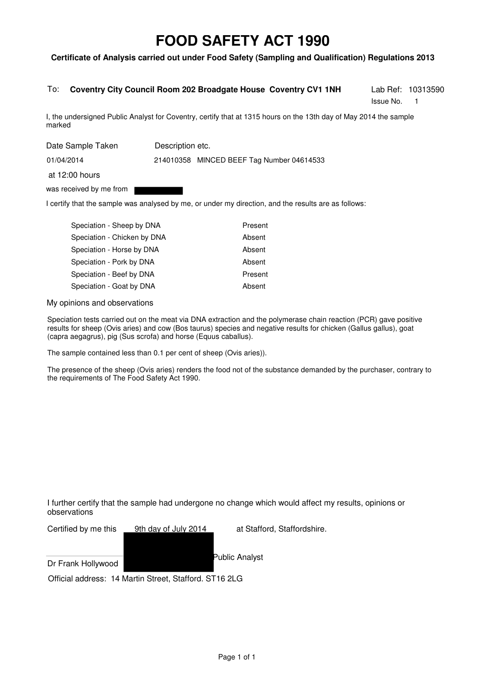#### **Certificate of Analysis carried out under Food Safety (Sampling and Qualification) Regulations 2013**

#### To: **Coventry City Council Room 202 Broadgate House Coventry CV1 1NH**

Issue No. 1

Lab Ref: 10313590

I, the undersigned Public Analyst for Coventry, certify that at 1315 hours on the 13th day of May 2014 the sample marked

| Date Sample Taken       | Description etc. |                                           |
|-------------------------|------------------|-------------------------------------------|
| 01/04/2014              |                  | 214010358 MINCED BEEF Tag Number 04614533 |
| at 12:00 hours          |                  |                                           |
| was received by me from |                  |                                           |

I certify that the sample was analysed by me, or under my direction, and the results are as follows:

| Speciation - Sheep by DNA   | Present |
|-----------------------------|---------|
| Speciation - Chicken by DNA | Absent  |
| Speciation - Horse by DNA   | Absent  |
| Speciation - Pork by DNA    | Absent  |
| Speciation - Beef by DNA    | Present |
| Speciation - Goat by DNA    | Absent  |
|                             |         |

My opinions and observations

Speciation tests carried out on the meat via DNA extraction and the polymerase chain reaction (PCR) gave positive results for sheep (Ovis aries) and cow (Bos taurus) species and negative results for chicken (Gallus gallus), goat (capra aegagrus), pig (Sus scrofa) and horse (Equus caballus).

The sample contained less than 0.1 per cent of sheep (Ovis aries)).

The presence of the sheep (Ovis aries) renders the food not of the substance demanded by the purchaser, contrary to the requirements of The Food Safety Act 1990.

I further certify that the sample had undergone no change which would affect my results, opinions or observations

| Certified by me this | 9th day of July 2014                                   | at Stafford, Staffordshire. |
|----------------------|--------------------------------------------------------|-----------------------------|
|                      |                                                        |                             |
| Dr Frank Hollywood   |                                                        | Public Analyst              |
|                      | Official address: 14 Martin Street, Stafford. ST16 2LG |                             |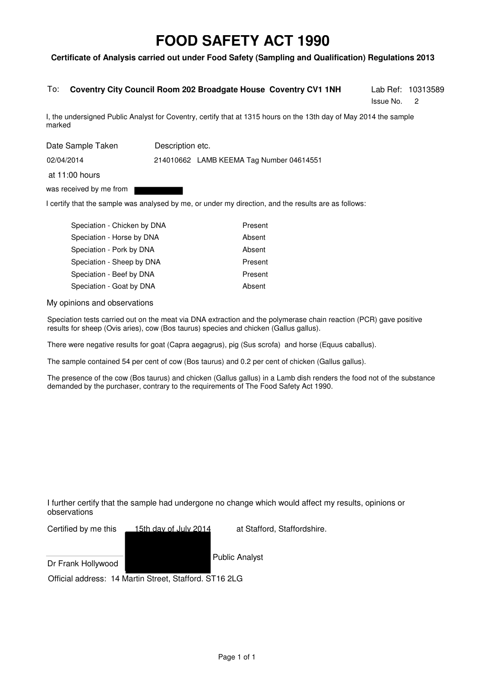#### **Certificate of Analysis carried out under Food Safety (Sampling and Qualification) Regulations 2013**

#### To: **Coventry City Council Room 202 Broadgate House Coventry CV1 1NH**

Issue No. 2

Lab Ref: 10313589

I, the undersigned Public Analyst for Coventry, certify that at 1315 hours on the 13th day of May 2014 the sample marked

| Date Sample Taken       | Description etc. |                                          |
|-------------------------|------------------|------------------------------------------|
| 02/04/2014              |                  | 214010662 LAMB KEEMA Tag Number 04614551 |
| at $11:00$ hours        |                  |                                          |
| was received by me from |                  |                                          |

I certify that the sample was analysed by me, or under my direction, and the results are as follows:

| Speciation - Chicken by DNA | Present |
|-----------------------------|---------|
| Speciation - Horse by DNA   | Absent  |
| Speciation - Pork by DNA    | Absent  |
| Speciation - Sheep by DNA   | Present |
| Speciation - Beef by DNA    | Present |
| Speciation - Goat by DNA    | Absent  |

My opinions and observations

Speciation tests carried out on the meat via DNA extraction and the polymerase chain reaction (PCR) gave positive results for sheep (Ovis aries), cow (Bos taurus) species and chicken (Gallus gallus).

There were negative results for goat (Capra aegagrus), pig (Sus scrofa) and horse (Equus caballus).

The sample contained 54 per cent of cow (Bos taurus) and 0.2 per cent of chicken (Gallus gallus).

The presence of the cow (Bos taurus) and chicken (Gallus gallus) in a Lamb dish renders the food not of the substance demanded by the purchaser, contrary to the requirements of The Food Safety Act 1990.

I further certify that the sample had undergone no change which would affect my results, opinions or observations

| Certified by me this | 15th day of July 2014 |  |
|----------------------|-----------------------|--|
|                      |                       |  |

at Stafford, Staffordshire.

Dr Frank Hollywood

Public Analyst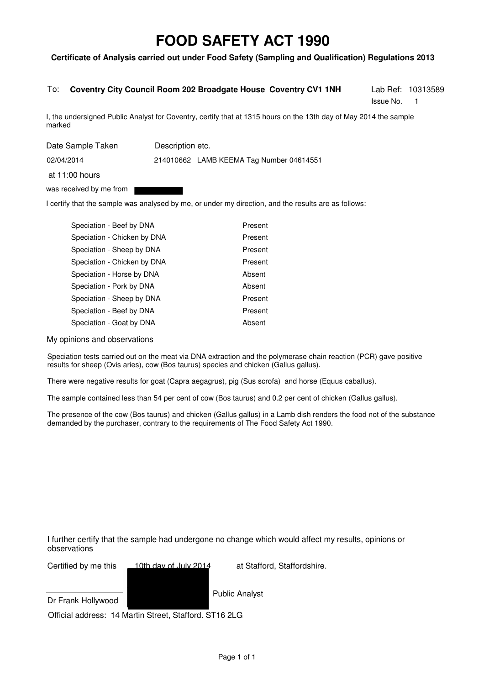#### **Certificate of Analysis carried out under Food Safety (Sampling and Qualification) Regulations 2013**

#### To: **Coventry City Council Room 202 Broadgate House Coventry CV1 1NH**

Issue No. 1

Lab Ref: 10313589

I, the undersigned Public Analyst for Coventry, certify that at 1315 hours on the 13th day of May 2014 the sample marked

| Date Sample Taken       | Description etc.                         |  |
|-------------------------|------------------------------------------|--|
| 02/04/2014              | 214010662 LAMB KEEMA Tag Number 04614551 |  |
| at $11:00$ hours        |                                          |  |
| was received by me from |                                          |  |

I certify that the sample was analysed by me, or under my direction, and the results are as follows:

| Speciation - Beef by DNA    | Present |
|-----------------------------|---------|
| Speciation - Chicken by DNA | Present |
| Speciation - Sheep by DNA   | Present |
| Speciation - Chicken by DNA | Present |
| Speciation - Horse by DNA   | Absent  |
| Speciation - Pork by DNA    | Absent  |
| Speciation - Sheep by DNA   | Present |
| Speciation - Beef by DNA    | Present |
| Speciation - Goat by DNA    | Absent  |

My opinions and observations

Speciation tests carried out on the meat via DNA extraction and the polymerase chain reaction (PCR) gave positive results for sheep (Ovis aries), cow (Bos taurus) species and chicken (Gallus gallus).

There were negative results for goat (Capra aegagrus), pig (Sus scrofa) and horse (Equus caballus).

The sample contained less than 54 per cent of cow (Bos taurus) and 0.2 per cent of chicken (Gallus gallus).

The presence of the cow (Bos taurus) and chicken (Gallus gallus) in a Lamb dish renders the food not of the substance demanded by the purchaser, contrary to the requirements of The Food Safety Act 1990.

I further certify that the sample had undergone no change which would affect my results, opinions or observations

Certified by me this 10th day of July 2014 at Stafford, Staffordshire.

Dr Frank Hollywood

Public Analyst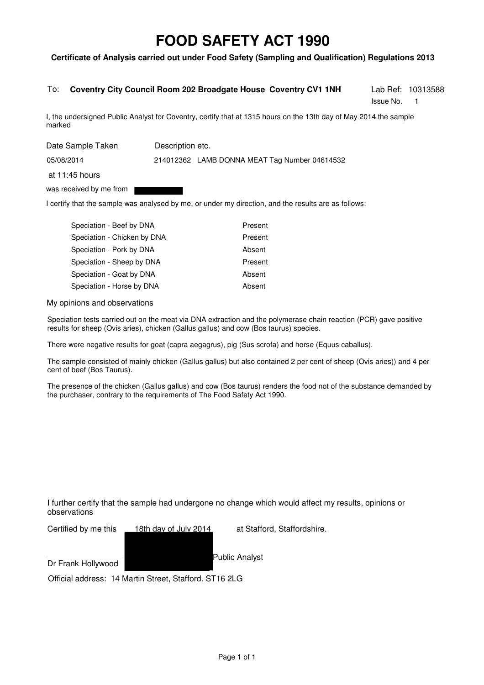#### **Certificate of Analysis carried out under Food Safety (Sampling and Qualification) Regulations 2013**

#### Lab Ref: 10313588 To: **Coventry City Council Room 202 Broadgate House Coventry CV1 1NH**

Issue No. 1

I, the undersigned Public Analyst for Coventry, certify that at 1315 hours on the 13th day of May 2014 the sample marked

| Date Sample Taken       | Description etc.                              |  |  |
|-------------------------|-----------------------------------------------|--|--|
| 05/08/2014              | 214012362 LAMB DONNA MEAT Tag Number 04614532 |  |  |
| at $11:45$ hours        |                                               |  |  |
| was received by me from |                                               |  |  |

I certify that the sample was analysed by me, or under my direction, and the results are as follows:

| Speciation - Beef by DNA    | Present |
|-----------------------------|---------|
| Speciation - Chicken by DNA | Present |
| Speciation - Pork by DNA    | Absent  |
| Speciation - Sheep by DNA   | Present |
| Speciation - Goat by DNA    | Absent  |
| Speciation - Horse by DNA   | Absent  |

My opinions and observations

Speciation tests carried out on the meat via DNA extraction and the polymerase chain reaction (PCR) gave positive results for sheep (Ovis aries), chicken (Gallus gallus) and cow (Bos taurus) species.

There were negative results for goat (capra aegagrus), pig (Sus scrofa) and horse (Equus caballus).

The sample consisted of mainly chicken (Gallus gallus) but also contained 2 per cent of sheep (Ovis aries)) and 4 per cent of beef (Bos Taurus).

The presence of the chicken (Gallus gallus) and cow (Bos taurus) renders the food not of the substance demanded by the purchaser, contrary to the requirements of The Food Safety Act 1990.

I further certify that the sample had undergone no change which would affect my results, opinions or observations

Certified by me this 18th day of July 2014 at Stafford, Staffordshire.

Dr Frank Hollywood

Public Analyst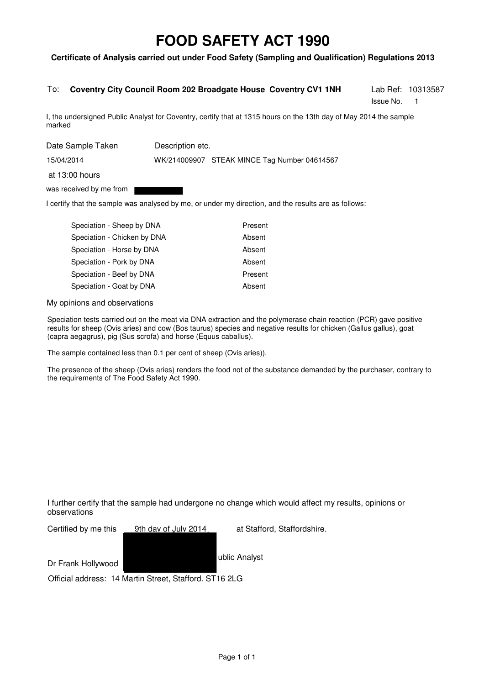#### **Certificate of Analysis carried out under Food Safety (Sampling and Qualification) Regulations 2013**

#### To: **Coventry City Council Room 202 Broadgate House Coventry CV1 1NH**

Issue No. 1

Lab Ref: 10313587

I, the undersigned Public Analyst for Coventry, certify that at 1315 hours on the 13th day of May 2014 the sample marked

Date Sample Taken Description etc.

15/04/2014

WK/214009907 STEAK MINCE Tag Number 04614567

at 13:00 hours

was received by me from

I certify that the sample was analysed by me, or under my direction, and the results are as follows:

| Speciation - Sheep by DNA   | Present |
|-----------------------------|---------|
| Speciation - Chicken by DNA | Absent  |
| Speciation - Horse by DNA   | Absent  |
| Speciation - Pork by DNA    | Absent  |
| Speciation - Beef by DNA    | Present |
| Speciation - Goat by DNA    | Absent  |
|                             |         |

My opinions and observations

Speciation tests carried out on the meat via DNA extraction and the polymerase chain reaction (PCR) gave positive results for sheep (Ovis aries) and cow (Bos taurus) species and negative results for chicken (Gallus gallus), goat (capra aegagrus), pig (Sus scrofa) and horse (Equus caballus).

The sample contained less than 0.1 per cent of sheep (Ovis aries)).

The presence of the sheep (Ovis aries) renders the food not of the substance demanded by the purchaser, contrary to the requirements of The Food Safety Act 1990.

I further certify that the sample had undergone no change which would affect my results, opinions or observations

| Certified by me this | 9th day of July 2014                                   | at Stafford, Staffordshire. |
|----------------------|--------------------------------------------------------|-----------------------------|
|                      |                                                        |                             |
|                      |                                                        | ublic Analyst               |
| Dr Frank Hollywood   |                                                        |                             |
|                      | Official address: 14 Martin Street, Stafford. ST16 2LG |                             |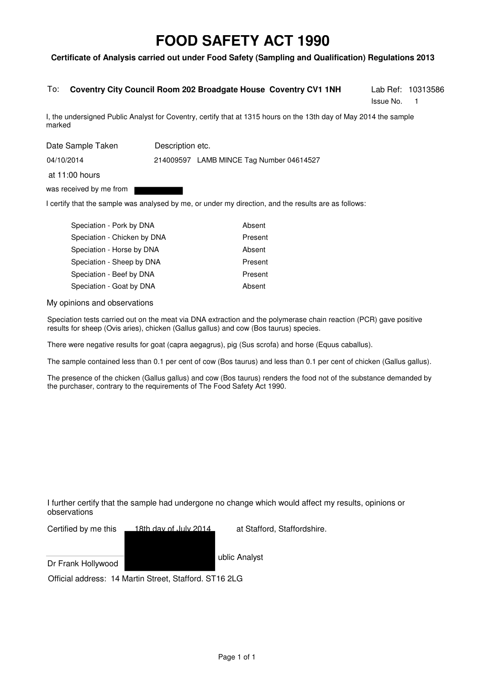#### **Certificate of Analysis carried out under Food Safety (Sampling and Qualification) Regulations 2013**

#### To: **Coventry City Council Room 202 Broadgate House Coventry CV1 1NH**

Issue No. 1

Lab Ref: 10313586

I, the undersigned Public Analyst for Coventry, certify that at 1315 hours on the 13th day of May 2014 the sample marked

Date Sample Taken Description etc.

04/10/2014

214009597 LAMB MINCE Tag Number 04614527

at 11:00 hours

was received by me from

I certify that the sample was analysed by me, or under my direction, and the results are as follows:

| Speciation - Pork by DNA    | Absent  |
|-----------------------------|---------|
| Speciation - Chicken by DNA | Present |
| Speciation - Horse by DNA   | Absent  |
| Speciation - Sheep by DNA   | Present |
| Speciation - Beef by DNA    | Present |
| Speciation - Goat by DNA    | Absent  |

My opinions and observations

Speciation tests carried out on the meat via DNA extraction and the polymerase chain reaction (PCR) gave positive results for sheep (Ovis aries), chicken (Gallus gallus) and cow (Bos taurus) species.

There were negative results for goat (capra aegagrus), pig (Sus scrofa) and horse (Equus caballus).

The sample contained less than 0.1 per cent of cow (Bos taurus) and less than 0.1 per cent of chicken (Gallus gallus).

The presence of the chicken (Gallus gallus) and cow (Bos taurus) renders the food not of the substance demanded by the purchaser, contrary to the requirements of The Food Safety Act 1990.

I further certify that the sample had undergone no change which would affect my results, opinions or observations

Certified by me this 18th day of July 2014 at Stafford, Staffordshire.

Dr Frank Hollywood

ublic Analyst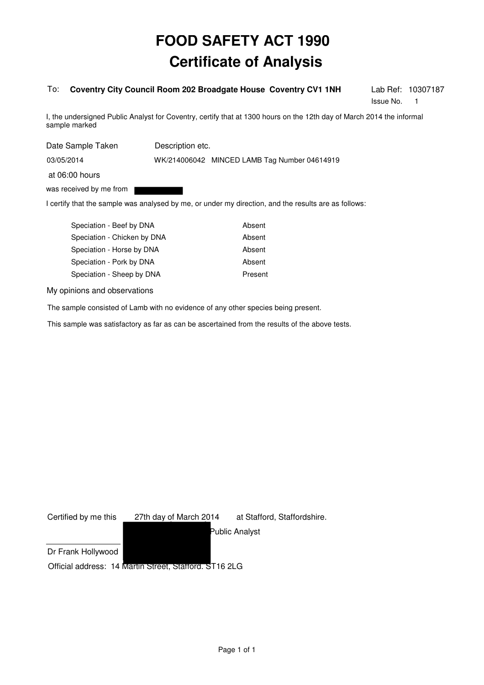#### To: **Coventry City Council Room 202 Broadgate House Coventry CV1 1NH**

Issue No. 1

Lab Ref: 10307187

I, the undersigned Public Analyst for Coventry, certify that at 1300 hours on the 12th day of March 2014 the informal sample marked

| Date Sample Taken       | Description etc. |                                              |
|-------------------------|------------------|----------------------------------------------|
| 03/05/2014              |                  | WK/214006042 MINCED LAMB Tag Number 04614919 |
| at 06:00 hours          |                  |                                              |
| was received by me from |                  |                                              |

I certify that the sample was analysed by me, or under my direction, and the results are as follows:

| Speciation - Beef by DNA    | Absent  |
|-----------------------------|---------|
| Speciation - Chicken by DNA | Absent  |
| Speciation - Horse by DNA   | Absent  |
| Speciation - Pork by DNA    | Absent  |
| Speciation - Sheep by DNA   | Present |
|                             |         |

My opinions and observations

The sample consisted of Lamb with no evidence of any other species being present.

| Certified by me this | 27th day of March 2014                                 | at Stafford, Staffordshire. |
|----------------------|--------------------------------------------------------|-----------------------------|
|                      |                                                        | Public Analyst              |
| Dr Frank Hollywood   |                                                        |                             |
|                      | Official address: 14 Martin Street, Stattord. ST16 2LG |                             |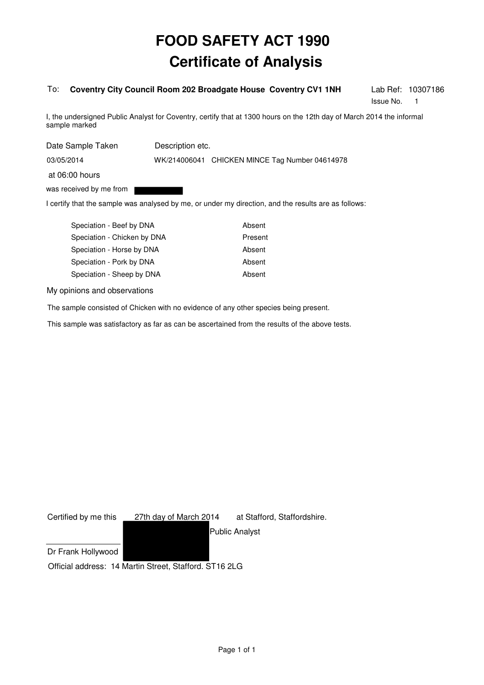#### To: **Coventry City Council Room 202 Broadgate House Coventry CV1 1NH**

Issue No. 1

Lab Ref: 10307186

I, the undersigned Public Analyst for Coventry, certify that at 1300 hours on the 12th day of March 2014 the informal sample marked

| Date Sample Taken       | Description etc. |                                                |
|-------------------------|------------------|------------------------------------------------|
| 03/05/2014              |                  | WK/214006041 CHICKEN MINCE Tag Number 04614978 |
| at 06:00 hours          |                  |                                                |
| was received by me from |                  |                                                |

I certify that the sample was analysed by me, or under my direction, and the results are as follows:

| Speciation - Beef by DNA    | Absent  |
|-----------------------------|---------|
| Speciation - Chicken by DNA | Present |
| Speciation - Horse by DNA   | Absent  |
| Speciation - Pork by DNA    | Absent  |
| Speciation - Sheep by DNA   | Absent  |
|                             |         |

My opinions and observations

The sample consisted of Chicken with no evidence of any other species being present.

| Certified by me this | 27th day of March 2014                                 | at Stafford, Staffordshire. |
|----------------------|--------------------------------------------------------|-----------------------------|
|                      |                                                        | <b>Public Analyst</b>       |
| Dr Frank Hollywood   |                                                        |                             |
|                      | Official address: 14 Martin Street, Stafford. ST16 2LG |                             |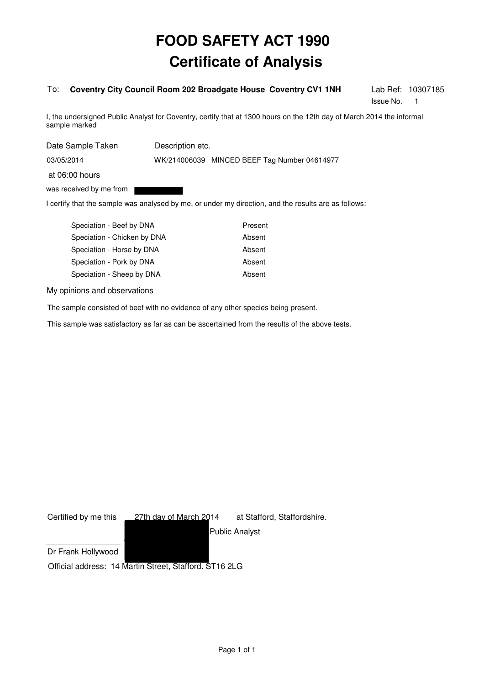#### To: **Coventry City Council Room 202 Broadgate House Coventry CV1 1NH**

Issue No. 1

Lab Ref: 10307185

I, the undersigned Public Analyst for Coventry, certify that at 1300 hours on the 12th day of March 2014 the informal sample marked

| Date Sample Taken       | Description etc. |                                              |
|-------------------------|------------------|----------------------------------------------|
| 03/05/2014              |                  | WK/214006039 MINCED BEEF Tag Number 04614977 |
| at 06:00 hours          |                  |                                              |
| was received by me from |                  |                                              |

I certify that the sample was analysed by me, or under my direction, and the results are as follows:

| Speciation - Beef by DNA    | Present |
|-----------------------------|---------|
| Speciation - Chicken by DNA | Absent  |
| Speciation - Horse by DNA   | Absent  |
| Speciation - Pork by DNA    | Absent  |
| Speciation - Sheep by DNA   | Absent  |
|                             |         |

My opinions and observations

The sample consisted of beef with no evidence of any other species being present.

| Certified by me this | 27th day of March 2014                                 | at Stafford, Staffordshire. |
|----------------------|--------------------------------------------------------|-----------------------------|
|                      |                                                        | <b>Public Analyst</b>       |
| Dr Frank Hollywood   |                                                        |                             |
|                      | Official address: 14 Martin Street, Stafford. ST16 2LG |                             |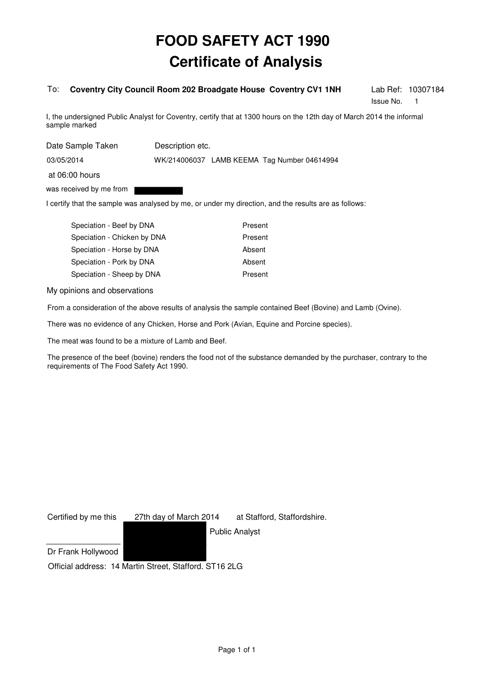#### To: **Coventry City Council Room 202 Broadgate House Coventry CV1 1NH**

Issue No. 1

Lab Ref: 10307184

I, the undersigned Public Analyst for Coventry, certify that at 1300 hours on the 12th day of March 2014 the informal sample marked

| Date Sample Taken       | Description etc. |                                             |
|-------------------------|------------------|---------------------------------------------|
| 03/05/2014              |                  | WK/214006037 LAMB KEEMA Tag Number 04614994 |
| at 06:00 hours          |                  |                                             |
| was received by me from |                  |                                             |

I certify that the sample was analysed by me, or under my direction, and the results are as follows:

| Speciation - Beef by DNA    | Present |
|-----------------------------|---------|
| Speciation - Chicken by DNA | Present |
| Speciation - Horse by DNA   | Absent  |
| Speciation - Pork by DNA    | Absent  |
| Speciation - Sheep by DNA   | Present |

My opinions and observations

From a consideration of the above results of analysis the sample contained Beef (Bovine) and Lamb (Ovine).

There was no evidence of any Chicken, Horse and Pork (Avian, Equine and Porcine species).

The meat was found to be a mixture of Lamb and Beef.

The presence of the beef (bovine) renders the food not of the substance demanded by the purchaser, contrary to the requirements of The Food Safety Act 1990.

| Certified by me this | 27th day of March 2014                                 | at Stafford, Staffordshire. |
|----------------------|--------------------------------------------------------|-----------------------------|
|                      |                                                        | <b>Public Analyst</b>       |
| Dr Frank Hollywood   |                                                        |                             |
|                      | Official address: 14 Martin Street, Stafford. ST16 2LG |                             |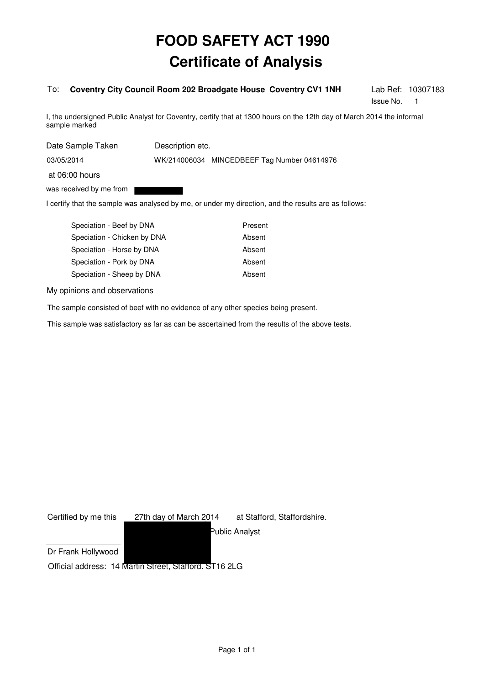#### To: **Coventry City Council Room 202 Broadgate House Coventry CV1 1NH**

Issue No. 1

Lab Ref: 10307183

I, the undersigned Public Analyst for Coventry, certify that at 1300 hours on the 12th day of March 2014 the informal sample marked

| Date Sample Taken       | Description etc. |                                             |
|-------------------------|------------------|---------------------------------------------|
| 03/05/2014              |                  | WK/214006034 MINCEDBEEF Tag Number 04614976 |
| at 06:00 hours          |                  |                                             |
| was received by me from |                  |                                             |

I certify that the sample was analysed by me, or under my direction, and the results are as follows:

| Speciation - Beef by DNA    | Present |
|-----------------------------|---------|
| Speciation - Chicken by DNA | Absent  |
| Speciation - Horse by DNA   | Absent  |
| Speciation - Pork by DNA    | Absent  |
| Speciation - Sheep by DNA   | Absent  |
|                             |         |

My opinions and observations

The sample consisted of beef with no evidence of any other species being present.

| Certified by me this | 27th day of March 2014                                 | at Stafford, Staffordshire. |
|----------------------|--------------------------------------------------------|-----------------------------|
|                      |                                                        | Public Analyst              |
| Dr Frank Hollywood   |                                                        |                             |
|                      | Official address: 14 Martin Street, Stattord. ST16 2LG |                             |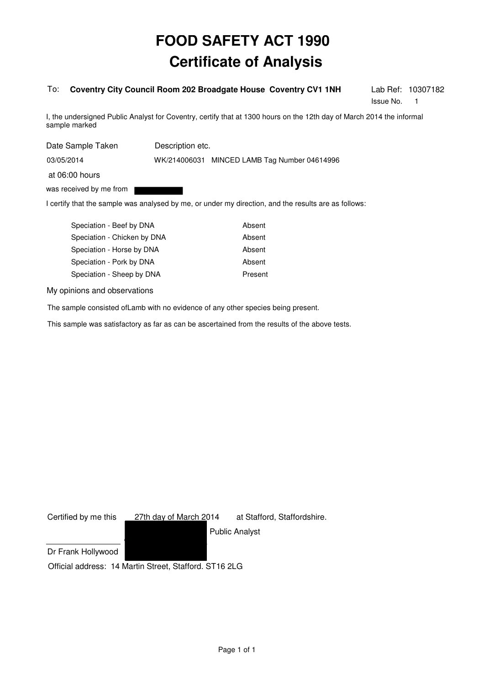#### To: **Coventry City Council Room 202 Broadgate House Coventry CV1 1NH**

Issue No. 1

Lab Ref: 10307182

I, the undersigned Public Analyst for Coventry, certify that at 1300 hours on the 12th day of March 2014 the informal sample marked

| Date Sample Taken       | Description etc. |                                              |
|-------------------------|------------------|----------------------------------------------|
| 03/05/2014              |                  | WK/214006031 MINCED LAMB Tag Number 04614996 |
| at 06:00 hours          |                  |                                              |
| was received by me from |                  |                                              |

I certify that the sample was analysed by me, or under my direction, and the results are as follows:

| Speciation - Beef by DNA    | Absent  |
|-----------------------------|---------|
| Speciation - Chicken by DNA | Absent  |
| Speciation - Horse by DNA   | Absent  |
| Speciation - Pork by DNA    | Absent  |
| Speciation - Sheep by DNA   | Present |
|                             |         |

My opinions and observations

The sample consisted ofLamb with no evidence of any other species being present.

| Certified by me this | 27th day of March 2014                                 | at Stafford, Staffordshire. |
|----------------------|--------------------------------------------------------|-----------------------------|
|                      |                                                        | <b>Public Analyst</b>       |
| Dr Frank Hollywood   |                                                        |                             |
|                      | Official address: 14 Martin Street, Stafford. ST16 2LG |                             |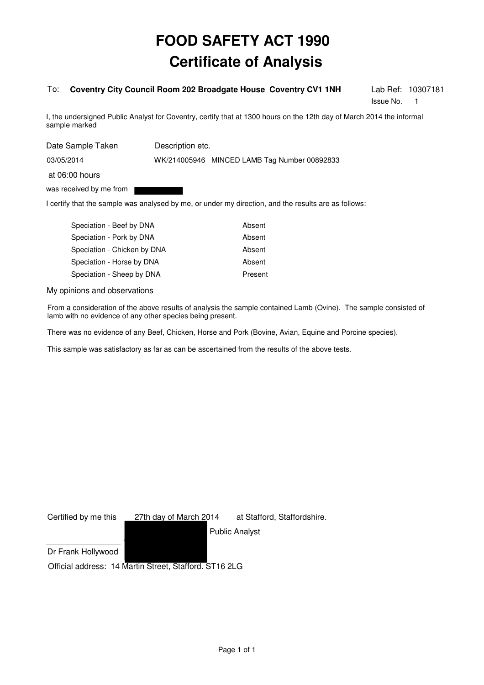#### To: **Coventry City Council Room 202 Broadgate House Coventry CV1 1NH**

Issue No. 1

Lab Ref: 10307181

I, the undersigned Public Analyst for Coventry, certify that at 1300 hours on the 12th day of March 2014 the informal sample marked

| Date Sample Taken       | Description etc. |                                              |
|-------------------------|------------------|----------------------------------------------|
| 03/05/2014              |                  | WK/214005946 MINCED LAMB Tag Number 00892833 |
| at 06:00 hours          |                  |                                              |
| was received by me from |                  |                                              |
|                         |                  |                                              |

I certify that the sample was analysed by me, or under my direction, and the results are as follows:

| Speciation - Beef by DNA    | Absent  |
|-----------------------------|---------|
| Speciation - Pork by DNA    | Absent  |
| Speciation - Chicken by DNA | Absent  |
| Speciation - Horse by DNA   | Absent  |
| Speciation - Sheep by DNA   | Present |

My opinions and observations

From a consideration of the above results of analysis the sample contained Lamb (Ovine). The sample consisted of lamb with no evidence of any other species being present.

There was no evidence of any Beef, Chicken, Horse and Pork (Bovine, Avian, Equine and Porcine species).

| Certified by me this | 27th day of March 2014                                 | at Stafford, Staffordshire. |
|----------------------|--------------------------------------------------------|-----------------------------|
|                      |                                                        | <b>Public Analyst</b>       |
| Dr Frank Hollywood   |                                                        |                             |
|                      | Official address: 14 Martin Street, Stafford. ST16 2LG |                             |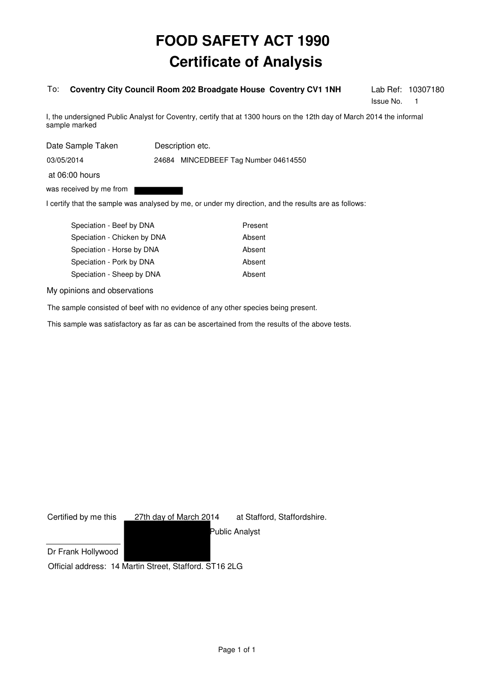#### To: **Coventry City Council Room 202 Broadgate House Coventry CV1 1NH**

Issue No. 1

Lab Ref: 10307180

I, the undersigned Public Analyst for Coventry, certify that at 1300 hours on the 12th day of March 2014 the informal sample marked

| Date Sample Taken                         | Description etc.                     |  |
|-------------------------------------------|--------------------------------------|--|
| 03/05/2014                                | 24684 MINCEDBEEF Tag Number 04614550 |  |
| at 06:00 hours<br>was received by me from |                                      |  |

I certify that the sample was analysed by me, or under my direction, and the results are as follows:

| Speciation - Beef by DNA    | Present |
|-----------------------------|---------|
| Speciation - Chicken by DNA | Absent  |
| Speciation - Horse by DNA   | Absent  |
| Speciation - Pork by DNA    | Absent  |
| Speciation - Sheep by DNA   | Absent  |
|                             |         |

My opinions and observations

The sample consisted of beef with no evidence of any other species being present.

| Certified by me this | 27th day of March 2014                                 | at Stafford, Staffordshire. |
|----------------------|--------------------------------------------------------|-----------------------------|
|                      |                                                        | Public Analyst              |
| Dr Frank Hollywood   |                                                        |                             |
|                      | Official address: 14 Martin Street, Stafford. ST16 2LG |                             |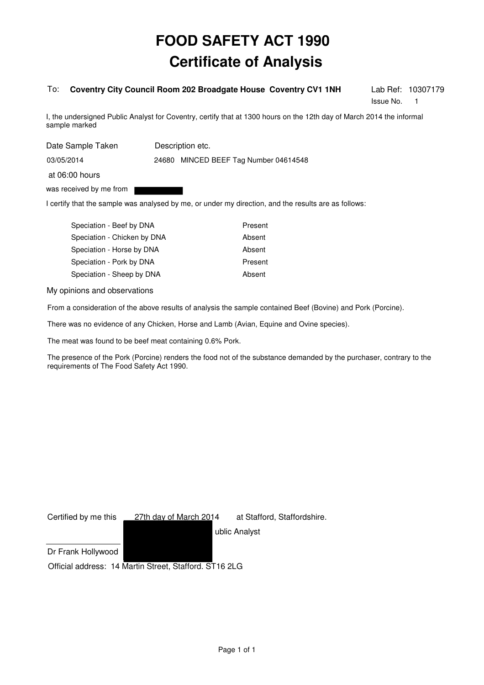#### To: **Coventry City Council Room 202 Broadgate House Coventry CV1 1NH**

Issue No. 1

Lab Ref: 10307179

I, the undersigned Public Analyst for Coventry, certify that at 1300 hours on the 12th day of March 2014 the informal sample marked

| Date Sample Taken       | Description etc.                      |  |
|-------------------------|---------------------------------------|--|
| 03/05/2014              | 24680 MINCED BEEF Tag Number 04614548 |  |
| at 06:00 hours          |                                       |  |
| was received by me from |                                       |  |

I certify that the sample was analysed by me, or under my direction, and the results are as follows:

| Speciation - Beef by DNA    | Present |
|-----------------------------|---------|
| Speciation - Chicken by DNA | Absent  |
| Speciation - Horse by DNA   | Absent  |
| Speciation - Pork by DNA    | Present |
| Speciation - Sheep by DNA   | Absent  |

My opinions and observations

From a consideration of the above results of analysis the sample contained Beef (Bovine) and Pork (Porcine).

There was no evidence of any Chicken, Horse and Lamb (Avian, Equine and Ovine species).

The meat was found to be beef meat containing 0.6% Pork.

The presence of the Pork (Porcine) renders the food not of the substance demanded by the purchaser, contrary to the requirements of The Food Safety Act 1990.

Certified by me this \_\_\_ 27th day of March 2014 at Stafford, Staffordshire.

ublic Analyst

Dr Frank Hollywood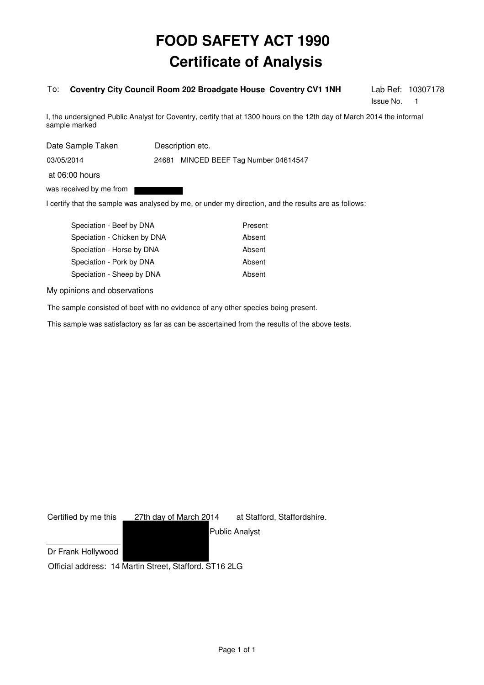#### To: **Coventry City Council Room 202 Broadgate House Coventry CV1 1NH**

Issue No. 1

Lab Ref: 10307178

I, the undersigned Public Analyst for Coventry, certify that at 1300 hours on the 12th day of March 2014 the informal sample marked

| Date Sample Taken       | Description etc.                      |  |
|-------------------------|---------------------------------------|--|
| 03/05/2014              | 24681 MINCED BEEF Tag Number 04614547 |  |
| at 06:00 hours          |                                       |  |
| was received by me from |                                       |  |

I certify that the sample was analysed by me, or under my direction, and the results are as follows:

| Speciation - Beef by DNA    | Present |
|-----------------------------|---------|
| Speciation - Chicken by DNA | Absent  |
| Speciation - Horse by DNA   | Absent  |
| Speciation - Pork by DNA    | Absent  |
| Speciation - Sheep by DNA   | Absent  |
|                             |         |

My opinions and observations

The sample consisted of beef with no evidence of any other species being present.

| Certified by me this | 27th day of March 2014                                 | at Stafford, Staffordshire. |
|----------------------|--------------------------------------------------------|-----------------------------|
|                      |                                                        | <b>Public Analyst</b>       |
| Dr Frank Hollywood   |                                                        |                             |
|                      | Official address: 14 Martin Street, Stafford. ST16 2LG |                             |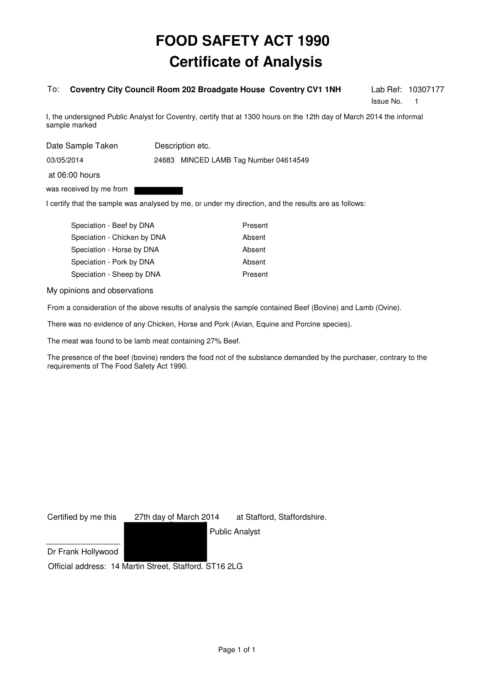#### To: **Coventry City Council Room 202 Broadgate House Coventry CV1 1NH**

Issue No. 1

Lab Ref: 10307177

I, the undersigned Public Analyst for Coventry, certify that at 1300 hours on the 12th day of March 2014 the informal sample marked

| Date Sample Taken       | Description etc.                      |  |
|-------------------------|---------------------------------------|--|
| 03/05/2014              | 24683 MINCED LAMB Tag Number 04614549 |  |
| at 06:00 hours          |                                       |  |
| was received by me from |                                       |  |

I certify that the sample was analysed by me, or under my direction, and the results are as follows:

| Speciation - Beef by DNA    | Present |
|-----------------------------|---------|
| Speciation - Chicken by DNA | Absent  |
| Speciation - Horse by DNA   | Absent  |
| Speciation - Pork by DNA    | Absent  |
| Speciation - Sheep by DNA   | Present |

My opinions and observations

From a consideration of the above results of analysis the sample contained Beef (Bovine) and Lamb (Ovine).

There was no evidence of any Chicken, Horse and Pork (Avian, Equine and Porcine species).

The meat was found to be lamb meat containing 27% Beef.

The presence of the beef (bovine) renders the food not of the substance demanded by the purchaser, contrary to the requirements of The Food Safety Act 1990.

| Certified by me this | 27th day of March 2014                                 | at Stafford, Staffordshire. |
|----------------------|--------------------------------------------------------|-----------------------------|
|                      |                                                        | <b>Public Analyst</b>       |
| Dr Frank Hollywood   |                                                        |                             |
|                      | Official address: 14 Martin Street, Stafford. ST16 2LG |                             |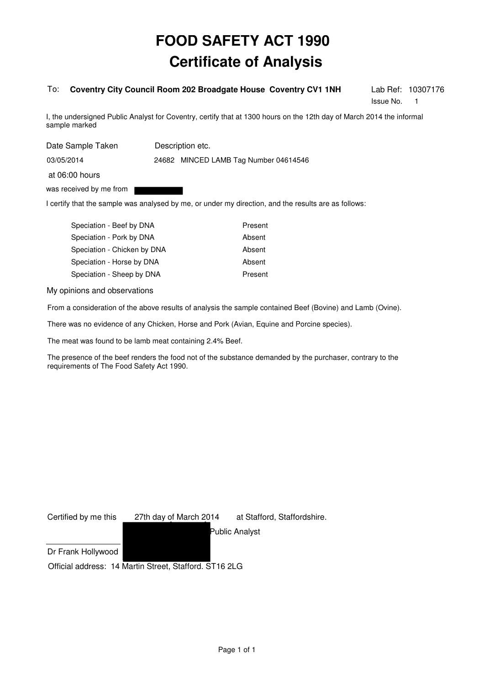#### To: **Coventry City Council Room 202 Broadgate House Coventry CV1 1NH**

Issue No. 1

Lab Ref: 10307176

I, the undersigned Public Analyst for Coventry, certify that at 1300 hours on the 12th day of March 2014 the informal sample marked

| Date Sample Taken       | Description etc.                      |  |
|-------------------------|---------------------------------------|--|
| 03/05/2014              | 24682 MINCED LAMB Tag Number 04614546 |  |
| at 06:00 hours          |                                       |  |
| was received by me from |                                       |  |

I certify that the sample was analysed by me, or under my direction, and the results are as follows:

| Speciation - Beef by DNA    | Present |
|-----------------------------|---------|
| Speciation - Pork by DNA    | Absent  |
| Speciation - Chicken by DNA | Absent  |
| Speciation - Horse by DNA   | Absent  |
| Speciation - Sheep by DNA   | Present |

My opinions and observations

From a consideration of the above results of analysis the sample contained Beef (Bovine) and Lamb (Ovine).

There was no evidence of any Chicken, Horse and Pork (Avian, Equine and Porcine species).

The meat was found to be lamb meat containing 2.4% Beef.

The presence of the beef renders the food not of the substance demanded by the purchaser, contrary to the requirements of The Food Safety Act 1990.

| Certified by me this | 27th day of March 2014                                 | at Stafford, Staffordshire. |
|----------------------|--------------------------------------------------------|-----------------------------|
|                      |                                                        | Public Analyst              |
| Dr Frank Hollywood   |                                                        |                             |
|                      | Official address: 14 Martin Street, Stafford. ST16 2LG |                             |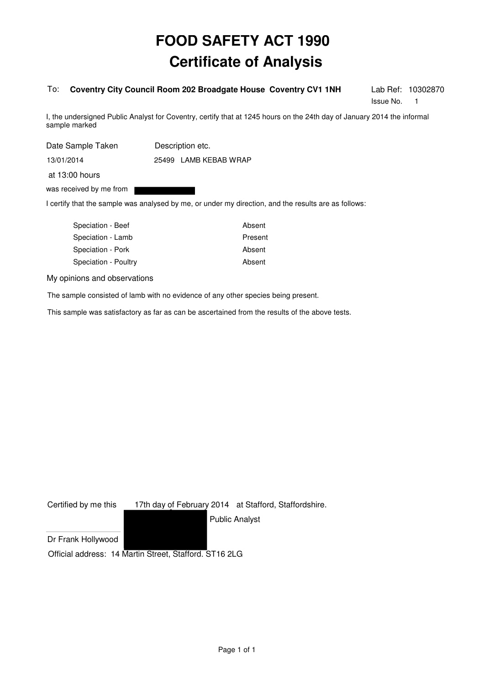#### To: **Coventry City Council Room 202 Broadgate House Coventry CV1 1NH**

Lab Ref: 10302870 Issue No. 1

I, the undersigned Public Analyst for Coventry, certify that at 1245 hours on the 24th day of January 2014 the informal sample marked

| Date Sample Taken       |  | Description etc.      |
|-------------------------|--|-----------------------|
| 13/01/2014              |  | 25499 LAMB KEBAB WRAP |
| at 13:00 hours          |  |                       |
| was received by me from |  |                       |

I certify that the sample was analysed by me, or under my direction, and the results are as follows:

| Speciation - Beef    | Absent  |
|----------------------|---------|
| Speciation - Lamb    | Present |
| Speciation - Pork    | Absent  |
| Speciation - Poultry | Absent  |
|                      |         |

My opinions and observations

The sample consisted of lamb with no evidence of any other species being present.

This sample was satisfactory as far as can be ascertained from the results of the above tests.

Certified by me this 17th day of February 2014 at Stafford, Staffordshire.

Public Analyst

Dr Frank Hollywood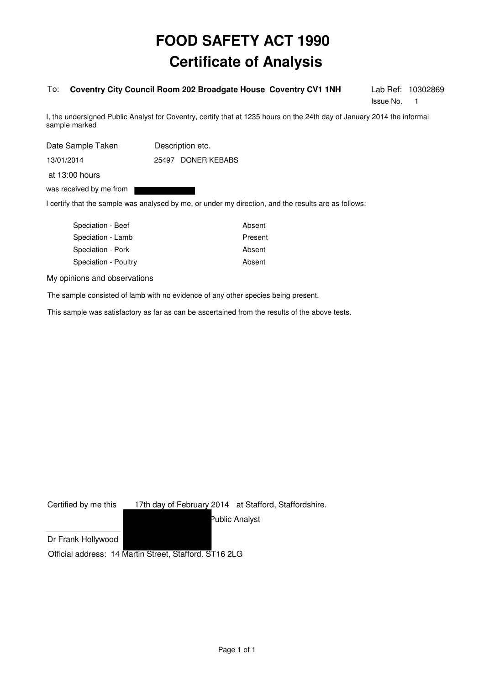#### To: **Coventry City Council Room 202 Broadgate House Coventry CV1 1NH**

Lab Ref: 10302869 Issue No. 1

I, the undersigned Public Analyst for Coventry, certify that at 1235 hours on the 24th day of January 2014 the informal sample marked

| Date Sample Taken       |  | Description etc.   |
|-------------------------|--|--------------------|
| 13/01/2014              |  | 25497 DONER KEBABS |
| at 13:00 hours          |  |                    |
| was received by me from |  |                    |

I certify that the sample was analysed by me, or under my direction, and the results are as follows:

| Speciation - Beef    | Absent  |
|----------------------|---------|
| Speciation - Lamb    | Present |
| Speciation - Pork    | Absent  |
| Speciation - Poultry | Absent  |
|                      |         |

My opinions and observations

The sample consisted of lamb with no evidence of any other species being present.

This sample was satisfactory as far as can be ascertained from the results of the above tests.

Certified by me this 17th day of February 2014 at Stafford, Staffordshire.

Public Analyst

Dr Frank Hollywood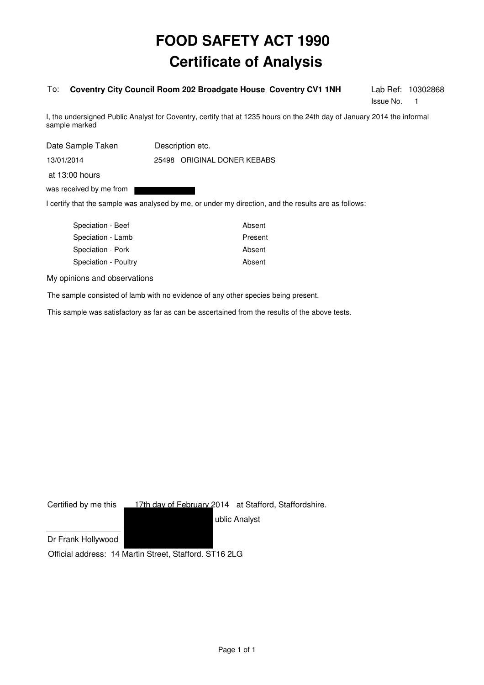#### To: **Coventry City Council Room 202 Broadgate House Coventry CV1 1NH**

Lab Ref: 10302868 Issue No. 1

I, the undersigned Public Analyst for Coventry, certify that at 1235 hours on the 24th day of January 2014 the informal sample marked

| Date Sample Taken       | Description etc.            |
|-------------------------|-----------------------------|
| 13/01/2014              | 25498 ORIGINAL DONER KEBABS |
| at 13:00 hours          |                             |
| was received by me from |                             |
|                         |                             |

I certify that the sample was analysed by me, or under my direction, and the results are as follows:

| Speciation - Beef    | Absent  |
|----------------------|---------|
| Speciation - Lamb    | Present |
| Speciation - Pork    | Absent  |
| Speciation - Poultry | Absent  |
|                      |         |

My opinions and observations

The sample consisted of lamb with no evidence of any other species being present.

This sample was satisfactory as far as can be ascertained from the results of the above tests.

Certified by me this \_\_\_17th day of February 2014 at Stafford, Staffordshire.

ublic Analyst

Dr Frank Hollywood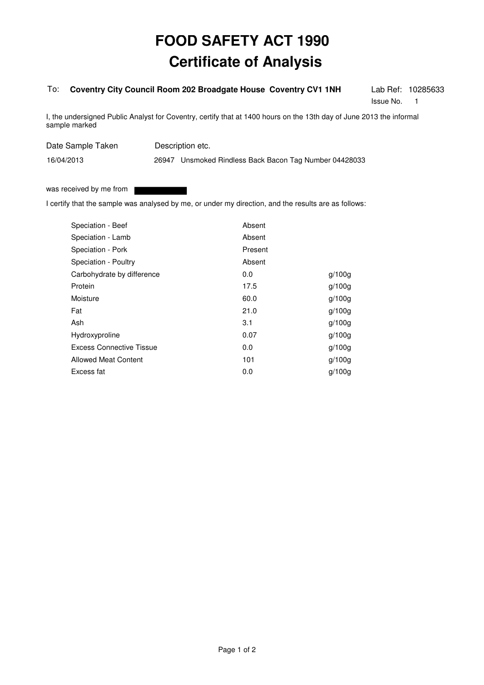#### To: **Coventry City Council Room 202 Broadgate House Coventry CV1 1NH**

Lab Ref: 10285633 Issue No. 1

I, the undersigned Public Analyst for Coventry, certify that at 1400 hours on the 13th day of June 2013 the informal sample marked

Date Sample Taken Description etc.

26947 Unsmoked Rindless Back Bacon Tag Number 04428033

was received by me from

16/04/2013

I certify that the sample was analysed by me, or under my direction, and the results are as follows:

| Speciation - Beef           | Absent  |        |
|-----------------------------|---------|--------|
| Speciation - Lamb           | Absent  |        |
| Speciation - Pork           | Present |        |
| Speciation - Poultry        | Absent  |        |
| Carbohydrate by difference  | 0.0     | q/100q |
| Protein                     | 17.5    | q/100q |
| Moisture                    | 60.0    | q/100q |
| Fat                         | 21.0    | q/100q |
| Ash                         | 3.1     | q/100q |
| Hydroxyproline              | 0.07    | q/100q |
| Excess Connective Tissue    | 0.0     | q/100q |
| <b>Allowed Meat Content</b> | 101     | q/100q |
| Excess fat                  | 0.0     | a/100a |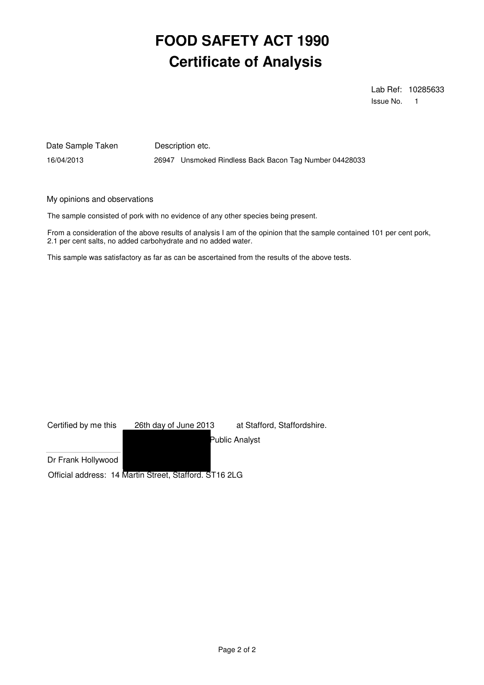Lab Ref: 10285633 Issue No. 1

Date Sample Taken Description etc.

16/04/2013 26947 Unsmoked Rindless Back Bacon Tag Number 04428033

My opinions and observations

The sample consisted of pork with no evidence of any other species being present.

From a consideration of the above results of analysis I am of the opinion that the sample contained 101 per cent pork, 2.1 per cent salts, no added carbohydrate and no added water.

| Certified by me this | 26th day of June 2013                                  | at Stafford, Staffordshire. |
|----------------------|--------------------------------------------------------|-----------------------------|
|                      |                                                        | Public Analyst              |
| Dr Frank Hollywood   |                                                        |                             |
|                      | Official address: 14 Martin Street, Stafford. ST16 2LG |                             |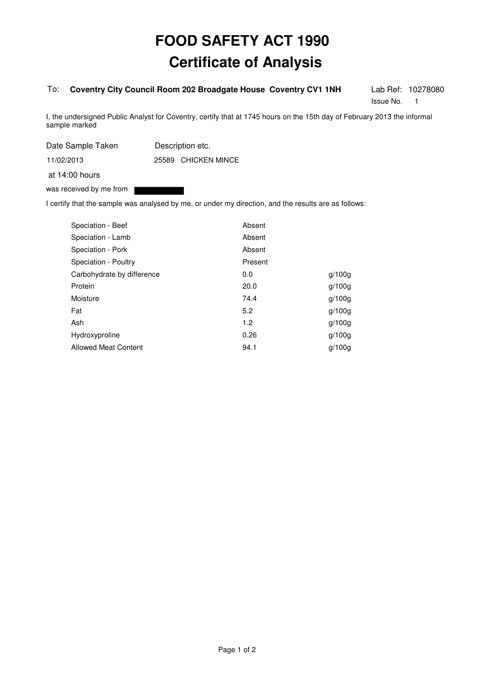#### To: **Coventry City Council Room 202 Broadgate House Coventry CV1 1NH**

Lab Ref: 10278080 Issue No. 1

I, the undersigned Public Analyst for Coventry, certify that at 1745 hours on the 15th day of February 2013 the informal sample marked

Date Sample Taken Description etc.

25589 CHICKEN MINCE 11/02/2013

at 14:00 hours

was received by me from

I certify that the sample was analysed by me, or under my direction, and the results are as follows:

| Speciation - Beef           | Absent  |        |
|-----------------------------|---------|--------|
| Speciation - Lamb           | Absent  |        |
| Speciation - Pork           | Absent  |        |
| Speciation - Poultry        | Present |        |
| Carbohydrate by difference  | 0.0     | q/100q |
| Protein                     | 20.0    | q/100q |
| Moisture                    | 74.4    | q/100q |
| Fat                         | 5.2     | q/100q |
| Ash                         | 1.2     | q/100q |
| Hydroxyproline              | 0.26    | q/100q |
| <b>Allowed Meat Content</b> | 94.1    | q/100q |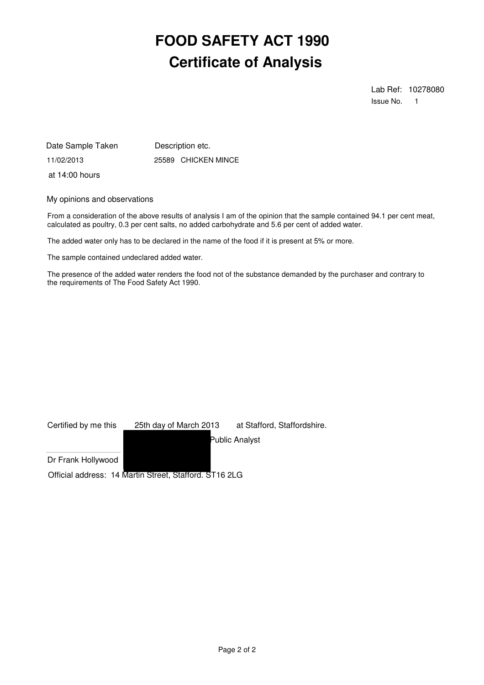Lab Ref: 10278080 Issue No. 1

11/02/2013 25589 CHICKEN MINCE Date Sample Taken Description etc. at 14:00 hours

My opinions and observations

From a consideration of the above results of analysis I am of the opinion that the sample contained 94.1 per cent meat, calculated as poultry, 0.3 per cent salts, no added carbohydrate and 5.6 per cent of added water.

The added water only has to be declared in the name of the food if it is present at 5% or more.

The sample contained undeclared added water.

The presence of the added water renders the food not of the substance demanded by the purchaser and contrary to the requirements of The Food Safety Act 1990.

| Certified by me this | 25th day of March 2013                                 | at Stafford, Staffordshire. |
|----------------------|--------------------------------------------------------|-----------------------------|
|                      |                                                        | Public Analyst              |
| Dr Frank Hollywood   |                                                        |                             |
|                      | Official address: 14 Martin Street, Stafford. ST16 2LG |                             |

Page 2 of 2